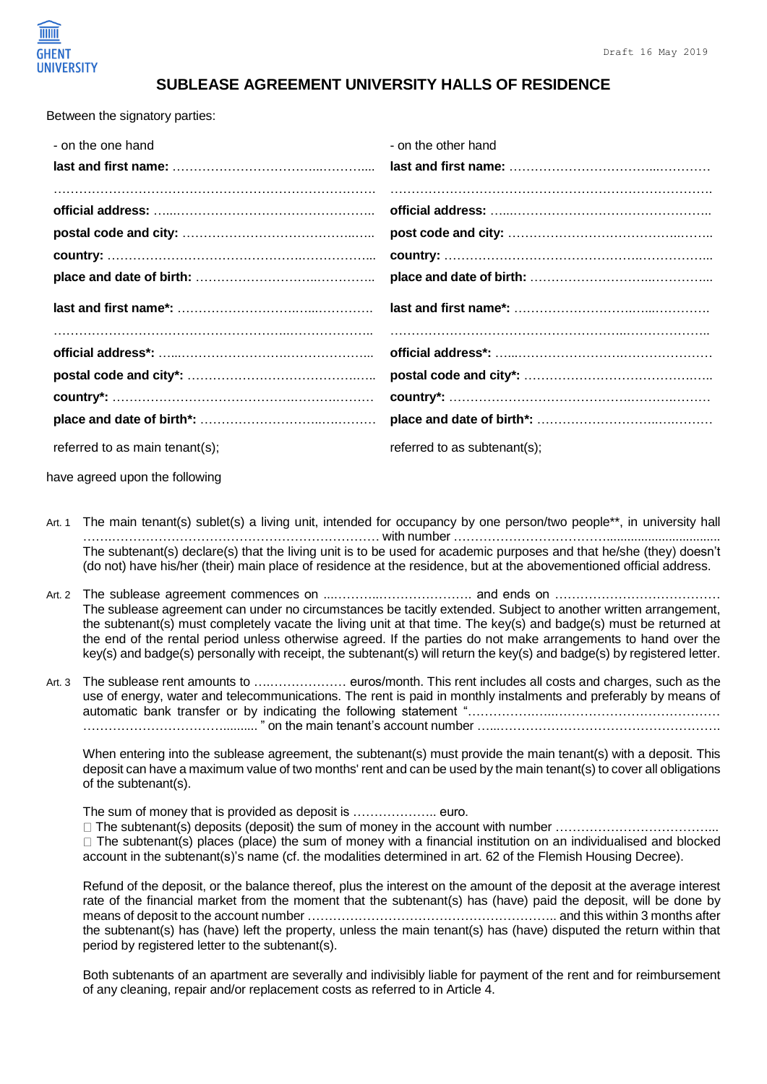

## **SUBLEASE AGREEMENT UNIVERSITY HALLS OF RESIDENCE**

Between the signatory parties:

| - on the one hand | - on the other hand |
|-------------------|---------------------|
|                   |                     |
|                   |                     |
|                   |                     |
|                   |                     |
|                   |                     |
|                   |                     |
|                   |                     |
|                   |                     |
|                   |                     |
|                   |                     |
|                   |                     |
|                   |                     |

have agreed upon the following

- Art. 1 The main tenant(s) sublet(s) a living unit, intended for occupancy by one person/two people\*\*, in university hall …….……………………………………………………… with number ………………………………................................. The subtenant(s) declare(s) that the living unit is to be used for academic purposes and that he/she (they) doesn't (do not) have his/her (their) main place of residence at the residence, but at the abovementioned official address.
- Art. 2 The sublease agreement commences on ...………..…………………. and ends on ………………………………… The sublease agreement can under no circumstances be tacitly extended. Subject to another written arrangement, the subtenant(s) must completely vacate the living unit at that time. The key(s) and badge(s) must be returned at the end of the rental period unless otherwise agreed. If the parties do not make arrangements to hand over the key(s) and badge(s) personally with receipt, the subtenant(s) will return the key(s) and badge(s) by registered letter.
- Art. 3 The sublease rent amounts to ….……………… euros/month. This rent includes all costs and charges, such as the use of energy, water and telecommunications. The rent is paid in monthly instalments and preferably by means of automatic bank transfer or by indicating the following statement "…………….…..………………………………… …………………………….......... " on the main tenant's account number …...…………………………………………….

When entering into the sublease agreement, the subtenant(s) must provide the main tenant(s) with a deposit. This deposit can have a maximum value of two months' rent and can be used by the main tenant(s) to cover all obligations of the subtenant(s).

The sum of money that is provided as deposit is ……………….. euro.

 $\Box$  The subtenant(s) deposits (deposit) the sum of money in the account with number  $\ldots$   $\ldots$   $\ldots$   $\ldots$   $\ldots$   $\ldots$   $\ldots$   $\ldots$  $\Box$  The subtenant(s) places (place) the sum of money with a financial institution on an individualised and blocked account in the subtenant(s)'s name (cf. the modalities determined in art. 62 of the Flemish Housing Decree).

Refund of the deposit, or the balance thereof, plus the interest on the amount of the deposit at the average interest rate of the financial market from the moment that the subtenant(s) has (have) paid the deposit, will be done by means of deposit to the account number ………………………………………………….. and this within 3 months after the subtenant(s) has (have) left the property, unless the main tenant(s) has (have) disputed the return within that period by registered letter to the subtenant(s).

Both subtenants of an apartment are severally and indivisibly liable for payment of the rent and for reimbursement of any cleaning, repair and/or replacement costs as referred to in Article 4.